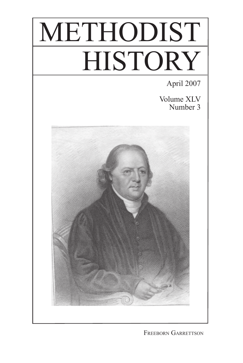# METHODIST HISTORY

April 2007

Volume XLV Number 3



Freeborn Garrettson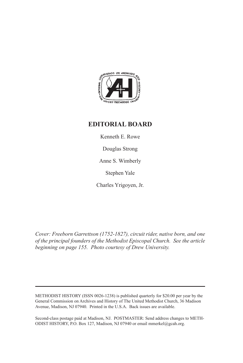

## **EDITORIAL BOARD**

Kenneth E. Rowe

Douglas Strong

Anne S. Wimberly

Stephen Yale

Charles Yrigoyen, Jr.

*Cover: Freeborn Garrettson (1752-1827), circuit rider, native born, and one of the principal founders of the Methodist Episcopal Church. See the article beginning on page 155. Photo courtesy of Drew University.*

METHODIST HISTORY (ISSN 0026-1238) is published quarterly for \$20.00 per year by the General Commission on Archives and History of The United Methodist Church, 36 Madison Avenue, Madison, NJ 07940. Printed in the U.S.A. Back issues are available.

Second-class postage paid at Madison, NJ. POSTMASTER: Send address changes to METH-ODIST HISTORY, P.O. Box 127, Madison, NJ 07940 or email mmerkel@gcah.org.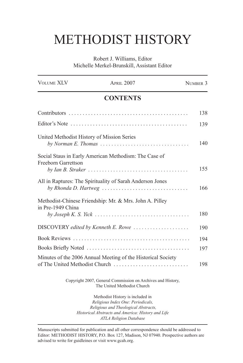## METHODIST HISTORY

Robert J. Williams, Editor Michelle Merkel-Brunskill, Assistant Editor

| <b>VOLUME XLV</b>                          | <b>APRIL 2007</b>                                                                                                                                                                                    | NUMBER 3   |
|--------------------------------------------|------------------------------------------------------------------------------------------------------------------------------------------------------------------------------------------------------|------------|
| <b>CONTENTS</b>                            |                                                                                                                                                                                                      |            |
|                                            |                                                                                                                                                                                                      | 138        |
|                                            |                                                                                                                                                                                                      | 139        |
| United Methodist History of Mission Series | by Norman E. Thomas $\ldots \ldots \ldots \ldots \ldots \ldots \ldots \ldots \ldots$                                                                                                                 | 140        |
| Freeborn Garrettson                        | Social Staus in Early American Methodism: The Case of                                                                                                                                                | 155        |
|                                            | All in Raptures: The Spirituality of Sarah Anderson Jones<br>by Rhonda D. Hartweg                                                                                                                    | 166        |
| in Pre-1949 China                          | Methodist-Chinese Friendship: Mr. & Mrs. John A. Pilley                                                                                                                                              | 180        |
|                                            | DISCOVERY edited by Kenneth E. Rowe                                                                                                                                                                  | 190        |
|                                            |                                                                                                                                                                                                      | 194<br>197 |
|                                            | Minutes of the 2006 Annual Meeting of the Historical Society<br>of The United Methodist Church                                                                                                       | 198        |
|                                            | Copyright 2007, General Commission on Archives and History,<br>The United Methodist Church                                                                                                           |            |
|                                            | Methodist History is included in<br>Religious Index One: Periodicals,<br>Religious and Theological Abstracts,<br>Historical Abstracts and America: History and Life<br><b>ATLA Religion Database</b> |            |

Manuscripts submitted for publication and all other correspondence should be addressed to Editor: METHODIST HISTORY, P.O. Box 127, Madison, NJ 07940. Prospective authors are advised to write for guidleines or visit www.gcah.org.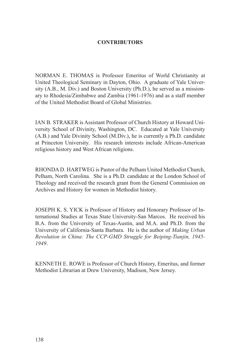### **CONTRIBUTORS**

NORMAN E. THOMAS is Professor Emeritus of World Christianity at United Theological Seminary in Dayton, Ohio. A graduate of Yale University (A.B., M. Div.) and Boston University (Ph.D.), he served as a missionary to Rhodesia/Zimbabwe and Zambia (1961-1976) and as a staff member of the United Methodist Board of Global Ministries.

Ian B. Straker is Assistant Professor of Church History at Howard University School of Divinity, Washington, DC. Educated at Yale University (A.B.) and Yale Divinity School (M.Div.), he is currently a Ph.D. candidate at Princeton University. His research interests include African-American religious history and West African religions.

Rhonda D. Hartweg is Pastor of the Pelham United Methodist Church, Pelham, North Carolina. She is a Ph.D. candidate at the London School of Theology and received the research grant from the General Commission on Archives and History for women in Methodist history.

Joseph K. S. Yick is Professor of History and Honorary Professor of International Studies at Texas State University-San Marcos. He received his B.A. from the University of Texas-Austin, and M.A. and Ph.D. from the University of California-Santa Barbara. He is the author of *Making Urban Revolution in China: The CCP-GMD Struggle for Beiping-Tianjin, 1945- 1949*.

KENNETH E. ROWE is Professor of Church History, Emeritus, and former Methodist Librarian at Drew University, Madison, New Jersey.